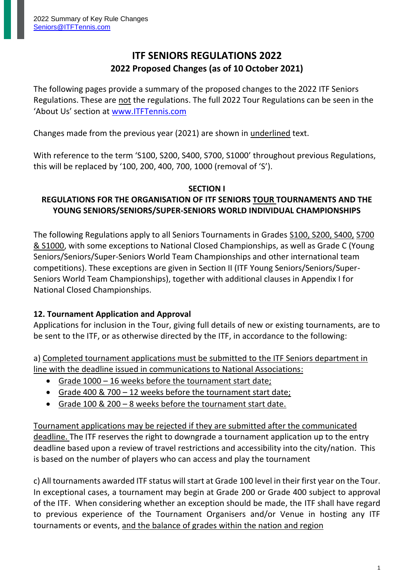# **ITF SENIORS REGULATIONS 2022 2022 Proposed Changes (as of 10 October 2021)**

The following pages provide a summary of the proposed changes to the 2022 ITF Seniors Regulations. These are not the regulations. The full 2022 Tour Regulations can be seen in the 'About Us' section at [www.ITFTennis.com](http://www.itftennis.com/)

Changes made from the previous year (2021) are shown in underlined text.

With reference to the term 'S100, S200, S400, S700, S1000' throughout previous Regulations, this will be replaced by '100, 200, 400, 700, 1000 (removal of 'S').

#### **SECTION I**

### **REGULATIONS FOR THE ORGANISATION OF ITF SENIORS TOUR TOURNAMENTS AND THE YOUNG SENIORS/SENIORS/SUPER-SENIORS WORLD INDIVIDUAL CHAMPIONSHIPS**

The following Regulations apply to all Seniors Tournaments in Grades S100, S200, S400, S700 & S1000, with some exceptions to National Closed Championships, as well as Grade C (Young Seniors/Seniors/Super-Seniors World Team Championships and other international team competitions). These exceptions are given in Section II (ITF Young Seniors/Seniors/Super-Seniors World Team Championships), together with additional clauses in Appendix I for National Closed Championships.

## **12. Tournament Application and Approval**

Applications for inclusion in the Tour, giving full details of new or existing tournaments, are to be sent to the ITF, or as otherwise directed by the ITF, in accordance to the following:

a) Completed tournament applications must be submitted to the ITF Seniors department in line with the deadline issued in communications to National Associations:

- Grade 1000 16 weeks before the tournament start date;
- Grade 400 & 700 12 weeks before the tournament start date;
- Grade 100 & 200 8 weeks before the tournament start date.

Tournament applications may be rejected if they are submitted after the communicated deadline. The ITF reserves the right to downgrade a tournament application up to the entry deadline based upon a review of travel restrictions and accessibility into the city/nation. This is based on the number of players who can access and play the tournament

c) All tournaments awarded ITF status will start at Grade 100 level in their first year on the Tour. In exceptional cases, a tournament may begin at Grade 200 or Grade 400 subject to approval of the ITF. When considering whether an exception should be made, the ITF shall have regard to previous experience of the Tournament Organisers and/or Venue in hosting any ITF tournaments or events, and the balance of grades within the nation and region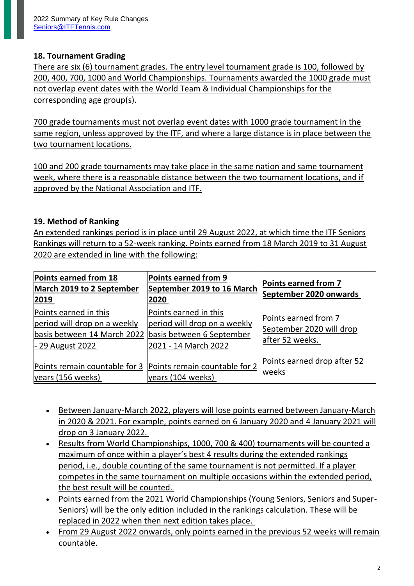## **18. Tournament Grading**

There are six (6) tournament grades. The entry level tournament grade is 100, followed by 200, 400, 700, 1000 and World Championships. Tournaments awarded the 1000 grade must not overlap event dates with the World Team & Individual Championships for the corresponding age group(s).

700 grade tournaments must not overlap event dates with 1000 grade tournament in the same region, unless approved by the ITF, and where a large distance is in place between the two tournament locations.

100 and 200 grade tournaments may take place in the same nation and same tournament week, where there is a reasonable distance between the two tournament locations, and if approved by the National Association and ITF.

#### **19. Method of Ranking**

An extended rankings period is in place until 29 August 2022, at which time the ITF Seniors Rankings will return to a 52-week ranking. Points earned from 18 March 2019 to 31 August 2020 are extended in line with the following:

| Points earned from 18<br>March 2019 to 2 September<br>2019                                                | Points earned from 9<br>September 2019 to 16 March<br>2020                                                 | Points earned from 7<br>September 2020 onwards                      |
|-----------------------------------------------------------------------------------------------------------|------------------------------------------------------------------------------------------------------------|---------------------------------------------------------------------|
| Points earned in this<br>period will drop on a weekly<br>basis between 14 March 2022<br>$-29$ August 2022 | Points earned in this<br>period will drop on a weekly<br>basis between 6 September<br>2021 - 14 March 2022 | Points earned from 7<br>September 2020 will drop<br>after 52 weeks. |
| Points remain countable for 3 Points remain countable for 2<br>years (156 weeks)                          | years (104 weeks)                                                                                          | Points earned drop after 52<br>weeks                                |

- Between January-March 2022, players will lose points earned between January-March in 2020 & 2021. For example, points earned on 6 January 2020 and 4 January 2021 will drop on 3 January 2022.
- Results from World Championships, 1000, 700 & 400) tournaments will be counted a maximum of once within a player's best 4 results during the extended rankings period, i.e., double counting of the same tournament is not permitted. If a player competes in the same tournament on multiple occasions within the extended period, the best result will be counted.
- Points earned from the 2021 World Championships (Young Seniors, Seniors and Super-Seniors) will be the only edition included in the rankings calculation. These will be replaced in 2022 when then next edition takes place.
- From 29 August 2022 onwards, only points earned in the previous 52 weeks will remain countable.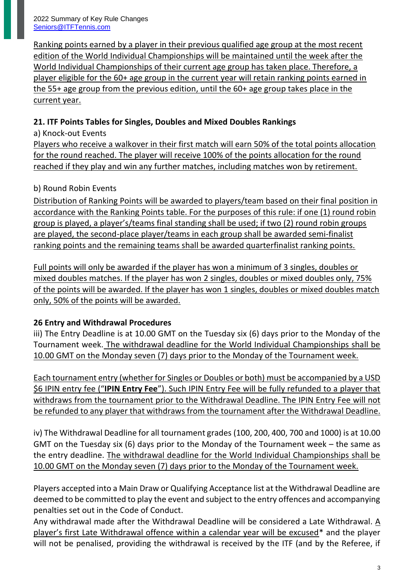Ranking points earned by a player in their previous qualified age group at the most recent edition of the World Individual Championships will be maintained until the week after the World Individual Championships of their current age group has taken place. Therefore, a player eligible for the 60+ age group in the current year will retain ranking points earned in the 55+ age group from the previous edition, until the 60+ age group takes place in the current year.

## **21. ITF Points Tables for Singles, Doubles and Mixed Doubles Rankings**

a) Knock-out Events

Players who receive a walkover in their first match will earn 50% of the total points allocation for the round reached. The player will receive 100% of the points allocation for the round reached if they play and win any further matches, including matches won by retirement.

## b) Round Robin Events

Distribution of Ranking Points will be awarded to players/team based on their final position in accordance with the Ranking Points table. For the purposes of this rule: if one (1) round robin group is played, a player's/teams final standing shall be used; if two (2) round robin groups are played, the second-place player/teams in each group shall be awarded semi-finalist ranking points and the remaining teams shall be awarded quarterfinalist ranking points.

Full points will only be awarded if the player has won a minimum of 3 singles, doubles or mixed doubles matches. If the player has won 2 singles, doubles or mixed doubles only, 75% of the points will be awarded. If the player has won 1 singles, doubles or mixed doubles match only, 50% of the points will be awarded.

# **26 Entry and Withdrawal Procedures**

iii) The Entry Deadline is at 10.00 GMT on the Tuesday six (6) days prior to the Monday of the Tournament week. The withdrawal deadline for the World Individual Championships shall be 10.00 GMT on the Monday seven (7) days prior to the Monday of the Tournament week.

Each tournament entry (whether for Singles or Doubles or both) must be accompanied by a USD \$6 IPIN entry fee ("**IPIN Entry Fee**"). Such IPIN Entry Fee will be fully refunded to a player that withdraws from the tournament prior to the Withdrawal Deadline. The IPIN Entry Fee will not be refunded to any player that withdraws from the tournament after the Withdrawal Deadline.

iv) The Withdrawal Deadline for all tournament grades (100, 200, 400, 700 and 1000) is at 10.00 GMT on the Tuesday six (6) days prior to the Monday of the Tournament week – the same as the entry deadline. The withdrawal deadline for the World Individual Championships shall be 10.00 GMT on the Monday seven (7) days prior to the Monday of the Tournament week.

Players accepted into a Main Draw or Qualifying Acceptance list at the Withdrawal Deadline are deemed to be committed to play the event and subject to the entry offences and accompanying penalties set out in the Code of Conduct.

Any withdrawal made after the Withdrawal Deadline will be considered a Late Withdrawal. A player's first Late Withdrawal offence within a calendar year will be excused\* and the player will not be penalised, providing the withdrawal is received by the ITF (and by the Referee, if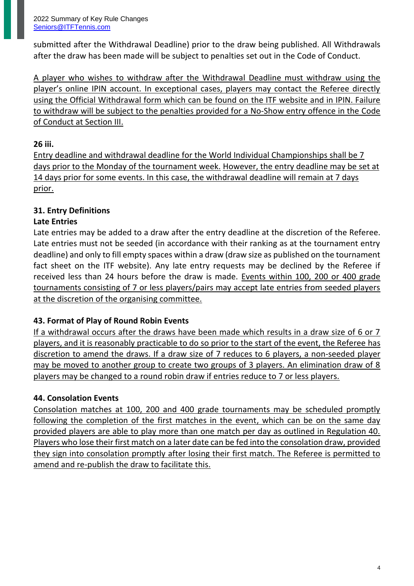submitted after the Withdrawal Deadline) prior to the draw being published. All Withdrawals after the draw has been made will be subject to penalties set out in the Code of Conduct.

A player who wishes to withdraw after the Withdrawal Deadline must withdraw using the player's online IPIN account. In exceptional cases, players may contact the Referee directly using the Official Withdrawal form which can be found on the ITF website and in IPIN. Failure to withdraw will be subject to the penalties provided for a No-Show entry offence in the Code of Conduct at Section III.

## **26 iii.**

Entry deadline and withdrawal deadline for the World Individual Championships shall be 7 days prior to the Monday of the tournament week. However, the entry deadline may be set at 14 days prior for some events. In this case, the withdrawal deadline will remain at 7 days prior.

# **31. Entry Definitions**

## **Late Entries**

Late entries may be added to a draw after the entry deadline at the discretion of the Referee. Late entries must not be seeded (in accordance with their ranking as at the tournament entry deadline) and only to fill empty spaces within a draw (draw size as published on the tournament fact sheet on the ITF website). Any late entry requests may be declined by the Referee if received less than 24 hours before the draw is made. Events within 100, 200 or 400 grade tournaments consisting of 7 or less players/pairs may accept late entries from seeded players at the discretion of the organising committee.

## **43. Format of Play of Round Robin Events**

If a withdrawal occurs after the draws have been made which results in a draw size of 6 or 7 players, and it is reasonably practicable to do so prior to the start of the event, the Referee has discretion to amend the draws. If a draw size of 7 reduces to 6 players, a non-seeded player may be moved to another group to create two groups of 3 players. An elimination draw of 8 players may be changed to a round robin draw if entries reduce to 7 or less players.

## **44. Consolation Events**

Consolation matches at 100, 200 and 400 grade tournaments may be scheduled promptly following the completion of the first matches in the event, which can be on the same day provided players are able to play more than one match per day as outlined in Regulation 40. Players who lose their first match on a later date can be fed into the consolation draw, provided they sign into consolation promptly after losing their first match. The Referee is permitted to amend and re-publish the draw to facilitate this.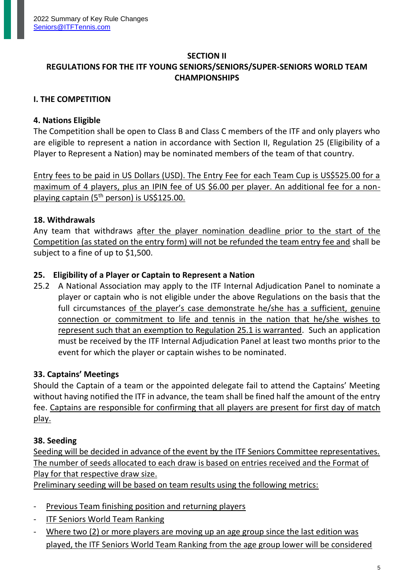#### **SECTION II**

## **REGULATIONS FOR THE ITF YOUNG SENIORS/SENIORS/SUPER-SENIORS WORLD TEAM CHAMPIONSHIPS**

#### **I. THE COMPETITION**

#### **4. Nations Eligible**

The Competition shall be open to Class B and Class C members of the ITF and only players who are eligible to represent a nation in accordance with Section II, Regulation 25 (Eligibility of a Player to Represent a Nation) may be nominated members of the team of that country.

Entry fees to be paid in US Dollars (USD). The Entry Fee for each Team Cup is US\$525.00 for a maximum of 4 players, plus an IPIN fee of US \$6.00 per player. An additional fee for a nonplaying captain (5<sup>th</sup> person) is US\$125.00.

#### **18. Withdrawals**

Any team that withdraws after the player nomination deadline prior to the start of the Competition (as stated on the entry form) will not be refunded the team entry fee and shall be subject to a fine of up to \$1,500.

#### **25. Eligibility of a Player or Captain to Represent a Nation**

25.2 A National Association may apply to the ITF Internal Adjudication Panel to nominate a player or captain who is not eligible under the above Regulations on the basis that the full circumstances of the player's case demonstrate he/she has a sufficient, genuine connection or commitment to life and tennis in the nation that he/she wishes to represent such that an exemption to Regulation 25.1 is warranted. Such an application must be received by the ITF Internal Adjudication Panel at least two months prior to the event for which the player or captain wishes to be nominated.

#### **33. Captains' Meetings**

Should the Captain of a team or the appointed delegate fail to attend the Captains' Meeting without having notified the ITF in advance, the team shall be fined half the amount of the entry fee. Captains are responsible for confirming that all players are present for first day of match play.

#### **38. Seeding**

Seeding will be decided in advance of the event by the ITF Seniors Committee representatives. The number of seeds allocated to each draw is based on entries received and the Format of Play for that respective draw size.

Preliminary seeding will be based on team results using the following metrics:

- Previous Team finishing position and returning players
- ITF Seniors World Team Ranking
- Where two (2) or more players are moving up an age group since the last edition was played, the ITF Seniors World Team Ranking from the age group lower will be considered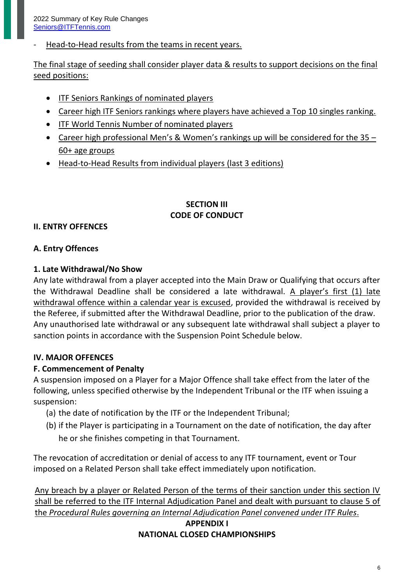Head-to-Head results from the teams in recent years.

The final stage of seeding shall consider player data & results to support decisions on the final seed positions:

- ITF Seniors Rankings of nominated players
- Career high ITF Seniors rankings where players have achieved a Top 10 singles ranking.
- ITF World Tennis Number of nominated players
- Career high professional Men's & Women's rankings up will be considered for the 35 60+ age groups
- Head-to-Head Results from individual players (last 3 editions)

## **SECTION III CODE OF CONDUCT**

## **II. ENTRY OFFENCES**

## **A. Entry Offences**

### **1. Late Withdrawal/No Show**

Any late withdrawal from a player accepted into the Main Draw or Qualifying that occurs after the Withdrawal Deadline shall be considered a late withdrawal. A player's first (1) late withdrawal offence within a calendar year is excused, provided the withdrawal is received by the Referee, if submitted after the Withdrawal Deadline, prior to the publication of the draw. Any unauthorised late withdrawal or any subsequent late withdrawal shall subject a player to sanction points in accordance with the Suspension Point Schedule below.

## **IV. MAJOR OFFENCES**

## **F. Commencement of Penalty**

A suspension imposed on a Player for a Major Offence shall take effect from the later of the following, unless specified otherwise by the Independent Tribunal or the ITF when issuing a suspension:

- (a) the date of notification by the ITF or the Independent Tribunal;
- (b) if the Player is participating in a Tournament on the date of notification, the day after he or she finishes competing in that Tournament.

The revocation of accreditation or denial of access to any ITF tournament, event or Tour imposed on a Related Person shall take effect immediately upon notification.

Any breach by a player or Related Person of the terms of their sanction under this section IV shall be referred to the ITF Internal Adjudication Panel and dealt with pursuant to clause 5 of the *Procedural Rules governing an Internal Adjudication Panel convened under ITF Rules*.

## **APPENDIX I NATIONAL CLOSED CHAMPIONSHIPS**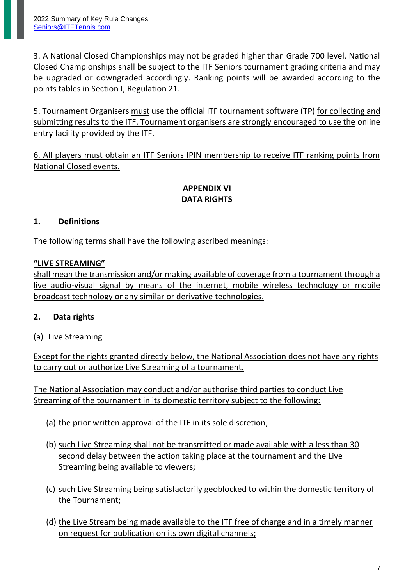3. A National Closed Championships may not be graded higher than Grade 700 level. National Closed Championships shall be subject to the ITF Seniors tournament grading criteria and may be upgraded or downgraded accordingly. Ranking points will be awarded according to the points tables in Section I, Regulation 21.

5. Tournament Organisers must use the official ITF tournament software (TP) for collecting and submitting results to the ITF. Tournament organisers are strongly encouraged to use the online entry facility provided by the ITF.

6. All players must obtain an ITF Seniors IPIN membership to receive ITF ranking points from National Closed events.

## **APPENDIX VI DATA RIGHTS**

## **1. Definitions**

The following terms shall have the following ascribed meanings:

## **"LIVE STREAMING"**

shall mean the transmission and/or making available of coverage from a tournament through a live audio-visual signal by means of the internet, mobile wireless technology or mobile broadcast technology or any similar or derivative technologies.

## **2. Data rights**

(a) Live Streaming

Except for the rights granted directly below, the National Association does not have any rights to carry out or authorize Live Streaming of a tournament.

The National Association may conduct and/or authorise third parties to conduct Live Streaming of the tournament in its domestic territory subject to the following:

- (a) the prior written approval of the ITF in its sole discretion;
- (b) such Live Streaming shall not be transmitted or made available with a less than 30 second delay between the action taking place at the tournament and the Live Streaming being available to viewers;
- (c) such Live Streaming being satisfactorily geoblocked to within the domestic territory of the Tournament;
- (d) the Live Stream being made available to the ITF free of charge and in a timely manner on request for publication on its own digital channels;